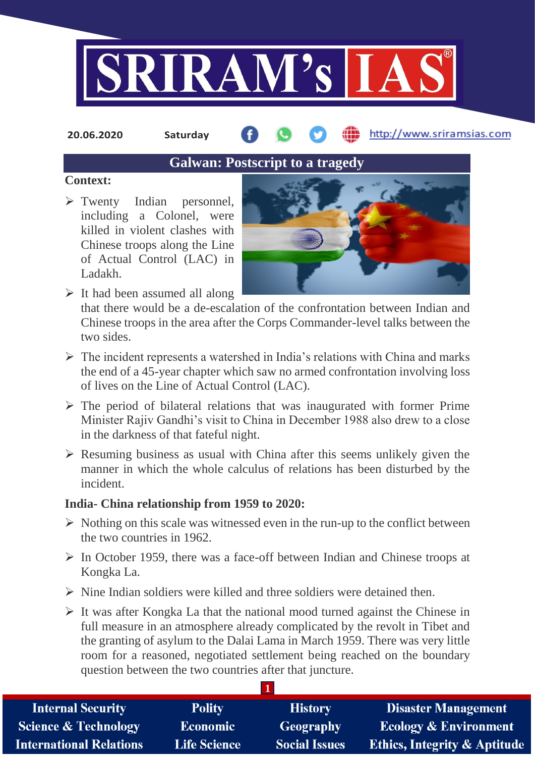

**20.06.2020 Saturday**

http://www.sriramsias.com

# **Galwan: Postscript to a tragedy**

### **Context:**

> Twenty Indian personnel, including a Colonel, were killed in violent clashes with Chinese troops along the Line of Actual Control (LAC) in Ladakh.



 $\triangleright$  It had been assumed all along that there would be a de-escalation of the confrontation between Indian and Chinese troops in the area after the Corps Commander-level talks between the two sides.

- $\triangleright$  The incident represents a watershed in India's relations with China and marks the end of a 45-year chapter which saw no armed confrontation involving loss of lives on the Line of Actual Control (LAC).
- $\triangleright$  The period of bilateral relations that was inaugurated with former Prime Minister Rajiv Gandhi's visit to China in December 1988 also drew to a close in the darkness of that fateful night.
- $\triangleright$  Resuming business as usual with China after this seems unlikely given the manner in which the whole calculus of relations has been disturbed by the incident.

## **India- China relationship from 1959 to 2020:**

- $\triangleright$  Nothing on this scale was witnessed even in the run-up to the conflict between the two countries in 1962.
- $\triangleright$  In October 1959, there was a face-off between Indian and Chinese troops at Kongka La.
- $\triangleright$  Nine Indian soldiers were killed and three soldiers were detained then.
- $\triangleright$  It was after Kongka La that the national mood turned against the Chinese in full measure in an atmosphere already complicated by the revolt in Tibet and the granting of asylum to the Dalai Lama in March 1959. There was very little room for a reasoned, negotiated settlement being reached on the boundary question between the two countries after that juncture.

**1**

| <b>Internal Security</b>        | <b>Polity</b>       | <b>History</b>       | <b>Disaster Management</b>              |
|---------------------------------|---------------------|----------------------|-----------------------------------------|
| <b>Science &amp; Technology</b> | <b>Economic</b>     | Geography            | <b>Ecology &amp; Environment</b>        |
| <b>International Relations</b>  | <b>Life Science</b> | <b>Social Issues</b> | <b>Ethics, Integrity &amp; Aptitude</b> |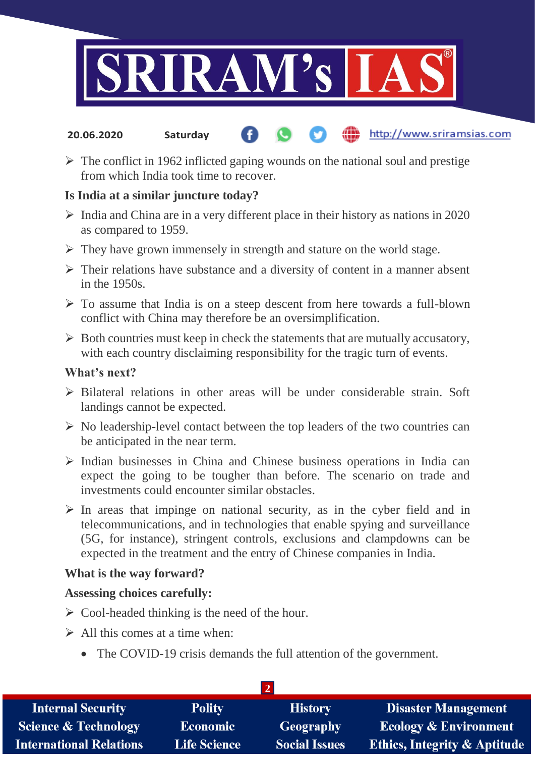

#### http://www.sriramsias.com **20.06.2020 Saturday**

 $\triangleright$  The conflict in 1962 inflicted gaping wounds on the national soul and prestige from which India took time to recover.

### **Is India at a similar juncture today?**

- $\triangleright$  India and China are in a very different place in their history as nations in 2020 as compared to 1959.
- $\triangleright$  They have grown immensely in strength and stature on the world stage.
- $\triangleright$  Their relations have substance and a diversity of content in a manner absent in the 1950s.
- $\triangleright$  To assume that India is on a steep descent from here towards a full-blown conflict with China may therefore be an oversimplification.
- $\triangleright$  Both countries must keep in check the statements that are mutually accusatory, with each country disclaiming responsibility for the tragic turn of events.

### **What's next?**

- $\triangleright$  Bilateral relations in other areas will be under considerable strain. Soft landings cannot be expected.
- $\triangleright$  No leadership-level contact between the top leaders of the two countries can be anticipated in the near term.
- $\triangleright$  Indian businesses in China and Chinese business operations in India can expect the going to be tougher than before. The scenario on trade and investments could encounter similar obstacles.
- $\triangleright$  In areas that impinge on national security, as in the cyber field and in telecommunications, and in technologies that enable spying and surveillance (5G, for instance), stringent controls, exclusions and clampdowns can be expected in the treatment and the entry of Chinese companies in India.

### **What is the way forward?**

### **Assessing choices carefully:**

- $\triangleright$  Cool-headed thinking is the need of the hour.
- $\triangleright$  All this comes at a time when:
	- The COVID-19 crisis demands the full attention of the government.

| <b>Internal Security</b>        | <b>Polity</b>       | <b>History</b>       | <b>Disaster Management</b>              |  |  |
|---------------------------------|---------------------|----------------------|-----------------------------------------|--|--|
| <b>Science &amp; Technology</b> | <b>Economic</b>     | Geography            | <b>Ecology &amp; Environment</b>        |  |  |
| <b>International Relations</b>  | <b>Life Science</b> | <b>Social Issues</b> | <b>Ethics, Integrity &amp; Aptitude</b> |  |  |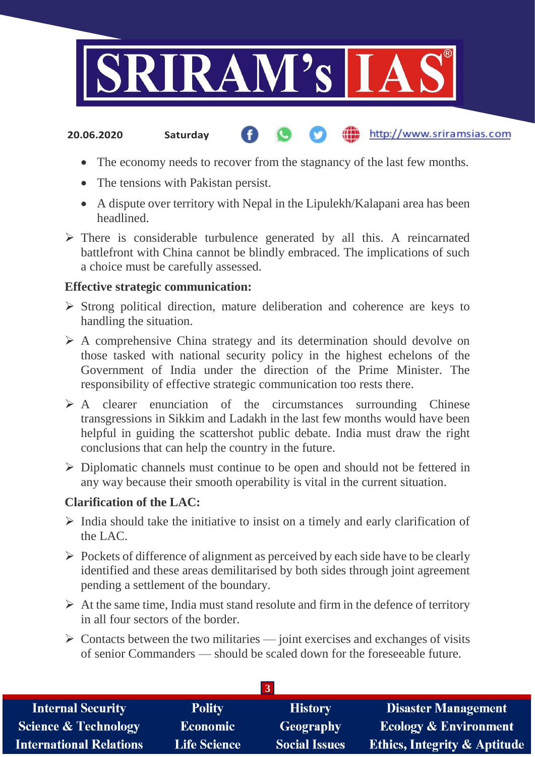

#### http://www.sriramsias.com **20.06.2020 Saturday**

- The economy needs to recover from the stagnancy of the last few months.
- The tensions with Pakistan persist.
- A dispute over territory with Nepal in the Lipulekh/Kalapani area has been headlined.
- $\triangleright$  There is considerable turbulence generated by all this. A reincarnated battlefront with China cannot be blindly embraced. The implications of such a choice must be carefully assessed.

### **Effective strategic communication:**

- $\triangleright$  Strong political direction, mature deliberation and coherence are keys to handling the situation.
- A comprehensive China strategy and its determination should devolve on those tasked with national security policy in the highest echelons of the Government of India under the direction of the Prime Minister. The responsibility of effective strategic communication too rests there.
- $\triangleright$  A clearer enunciation of the circumstances surrounding Chinese transgressions in Sikkim and Ladakh in the last few months would have been helpful in guiding the scattershot public debate. India must draw the right conclusions that can help the country in the future.
- $\triangleright$  Diplomatic channels must continue to be open and should not be fettered in any way because their smooth operability is vital in the current situation.

### **Clarification of the LAC:**

- $\triangleright$  India should take the initiative to insist on a timely and early clarification of the LAC.
- $\triangleright$  Pockets of difference of alignment as perceived by each side have to be clearly identified and these areas demilitarised by both sides through joint agreement pending a settlement of the boundary.
- $\triangleright$  At the same time, India must stand resolute and firm in the defence of territory in all four sectors of the border.
- $\triangleright$  Contacts between the two militaries joint exercises and exchanges of visits of senior Commanders — should be scaled down for the foreseeable future.

| <b>Internal Security</b>        | <b>Polity</b>       | <b>History</b>       | <b>Disaster Management</b>              |  |  |  |
|---------------------------------|---------------------|----------------------|-----------------------------------------|--|--|--|
| <b>Science &amp; Technology</b> | <b>Economic</b>     | Geography            | <b>Ecology &amp; Environment</b>        |  |  |  |
| <b>International Relations</b>  | <b>Life Science</b> | <b>Social Issues</b> | <b>Ethics, Integrity &amp; Aptitude</b> |  |  |  |